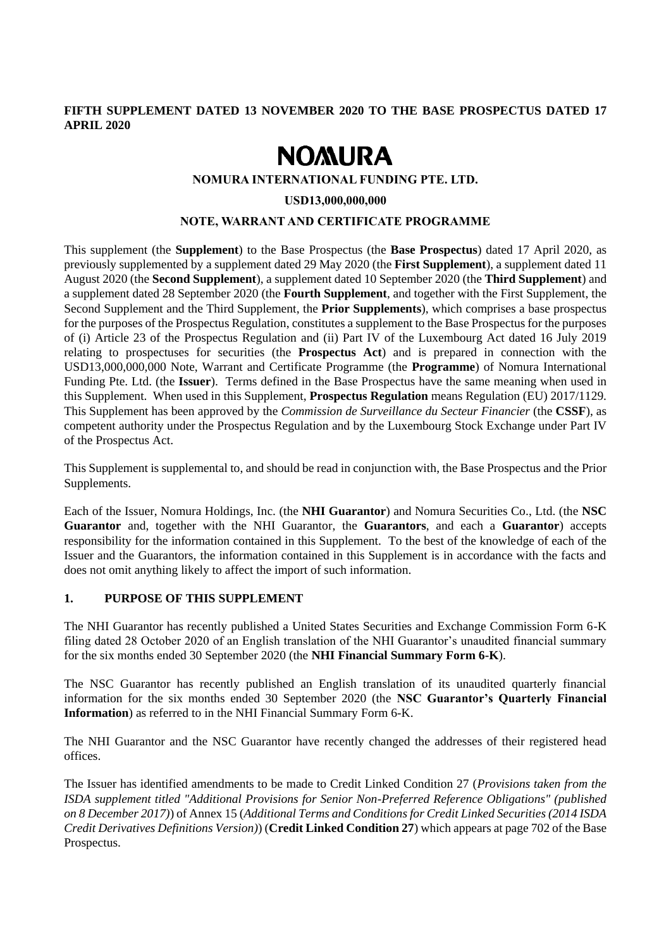## **FIFTH SUPPLEMENT DATED 13 NOVEMBER 2020 TO THE BASE PROSPECTUS DATED 17 APRIL 2020**

# **NOMURA**

## **NOMURA INTERNATIONAL FUNDING PTE. LTD.**

**USD13,000,000,000**

## **NOTE, WARRANT AND CERTIFICATE PROGRAMME**

This supplement (the **Supplement**) to the Base Prospectus (the **Base Prospectus**) dated 17 April 2020, as previously supplemented by a supplement dated 29 May 2020 (the **First Supplement**), a supplement dated 11 August 2020 (the **Second Supplement**), a supplement dated 10 September 2020 (the **Third Supplement**) and a supplement dated 28 September 2020 (the **Fourth Supplement**, and together with the First Supplement, the Second Supplement and the Third Supplement, the **Prior Supplements**), which comprises a base prospectus for the purposes of the Prospectus Regulation, constitutes a supplement to the Base Prospectus for the purposes of (i) Article 23 of the Prospectus Regulation and (ii) Part IV of the Luxembourg Act dated 16 July 2019 relating to prospectuses for securities (the **Prospectus Act**) and is prepared in connection with the USD13,000,000,000 Note, Warrant and Certificate Programme (the **Programme**) of Nomura International Funding Pte. Ltd. (the **Issuer**). Terms defined in the Base Prospectus have the same meaning when used in this Supplement. When used in this Supplement, **Prospectus Regulation** means Regulation (EU) 2017/1129. This Supplement has been approved by the *Commission de Surveillance du Secteur Financier* (the **CSSF**), as competent authority under the Prospectus Regulation and by the Luxembourg Stock Exchange under Part IV of the Prospectus Act.

This Supplement is supplemental to, and should be read in conjunction with, the Base Prospectus and the Prior Supplements.

Each of the Issuer, Nomura Holdings, Inc. (the **NHI Guarantor**) and Nomura Securities Co., Ltd. (the **NSC Guarantor** and, together with the NHI Guarantor, the **Guarantors**, and each a **Guarantor**) accepts responsibility for the information contained in this Supplement. To the best of the knowledge of each of the Issuer and the Guarantors, the information contained in this Supplement is in accordance with the facts and does not omit anything likely to affect the import of such information.

# **1. PURPOSE OF THIS SUPPLEMENT**

The NHI Guarantor has recently published a United States Securities and Exchange Commission Form 6-K filing dated 28 October 2020 of an English translation of the NHI Guarantor's unaudited financial summary for the six months ended 30 September 2020 (the **NHI Financial Summary Form 6-K**).

The NSC Guarantor has recently published an English translation of its unaudited quarterly financial information for the six months ended 30 September 2020 (the **NSC Guarantor's Quarterly Financial Information**) as referred to in the NHI Financial Summary Form 6-K.

The NHI Guarantor and the NSC Guarantor have recently changed the addresses of their registered head offices.

The Issuer has identified amendments to be made to Credit Linked Condition 27 (*Provisions taken from the ISDA supplement titled "Additional Provisions for Senior Non-Preferred Reference Obligations" (published on 8 December 2017)*) of Annex 15 (*Additional Terms and Conditions for Credit Linked Securities (2014 ISDA Credit Derivatives Definitions Version)*) (**Credit Linked Condition 27**) which appears at page 702 of the Base Prospectus.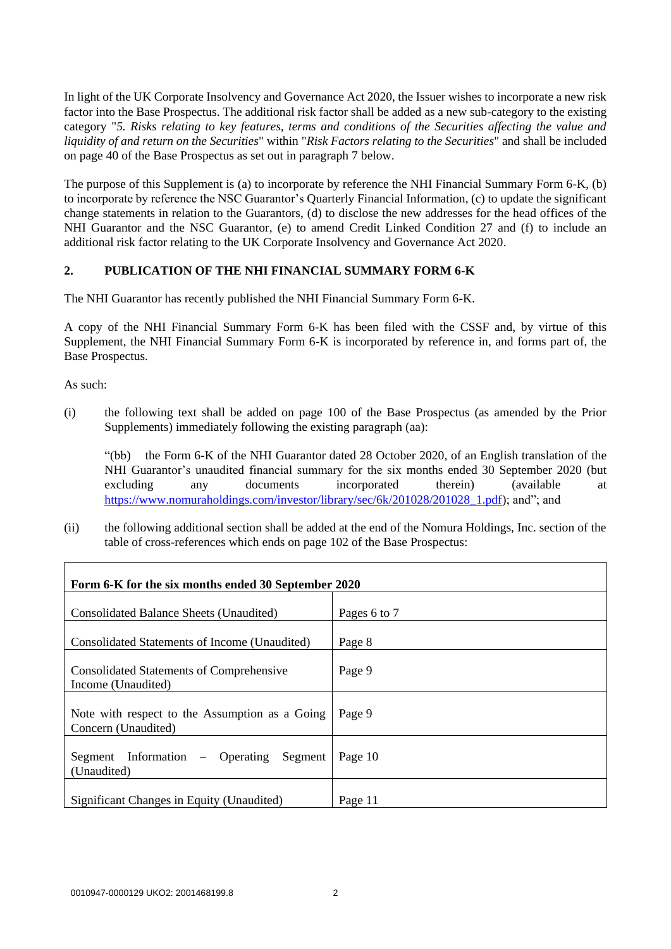In light of the UK Corporate Insolvency and Governance Act 2020, the Issuer wishes to incorporate a new risk factor into the Base Prospectus. The additional risk factor shall be added as a new sub-category to the existing category "*5. Risks relating to key features, terms and conditions of the Securities affecting the value and liquidity of and return on the Securities*" within "*Risk Factors relating to the Securities*" and shall be included on page 40 of the Base Prospectus as set out in paragraph 7 below.

The purpose of this Supplement is (a) to incorporate by reference the NHI Financial Summary Form 6-K, (b) to incorporate by reference the NSC Guarantor's Quarterly Financial Information, (c) to update the significant change statements in relation to the Guarantors, (d) to disclose the new addresses for the head offices of the NHI Guarantor and the NSC Guarantor, (e) to amend Credit Linked Condition 27 and (f) to include an additional risk factor relating to the UK Corporate Insolvency and Governance Act 2020.

# **2. PUBLICATION OF THE NHI FINANCIAL SUMMARY FORM 6-K**

The NHI Guarantor has recently published the NHI Financial Summary Form 6-K.

A copy of the NHI Financial Summary Form 6-K has been filed with the CSSF and, by virtue of this Supplement, the NHI Financial Summary Form 6-K is incorporated by reference in, and forms part of, the Base Prospectus.

As such:

(i) the following text shall be added on page 100 of the Base Prospectus (as amended by the Prior Supplements) immediately following the existing paragraph (aa):

"(bb) the Form 6-K of the NHI Guarantor dated 28 October 2020, of an English translation of the NHI Guarantor's unaudited financial summary for the six months ended 30 September 2020 (but excluding any documents incorporated therein) (available at [https://www.nomuraholdings.com/investor/library/sec/6k/201028/201028\\_1.pdf\)](https://www.nomuraholdings.com/investor/library/sec/6k/201028/201028_1.pdf); and"; and

(ii) the following additional section shall be added at the end of the Nomura Holdings, Inc. section of the table of cross-references which ends on page 102 of the Base Prospectus:

| Form 6-K for the six months ended 30 September 2020                   |              |
|-----------------------------------------------------------------------|--------------|
| Consolidated Balance Sheets (Unaudited)                               | Pages 6 to 7 |
| Consolidated Statements of Income (Unaudited)                         | Page 8       |
| <b>Consolidated Statements of Comprehensive</b><br>Income (Unaudited) | Page 9       |
| Note with respect to the Assumption as a Going<br>Concern (Unaudited) | Page 9       |
| Segment Information – Operating Segment<br>(Unaudited)                | Page 10      |
| Significant Changes in Equity (Unaudited)                             | Page 11      |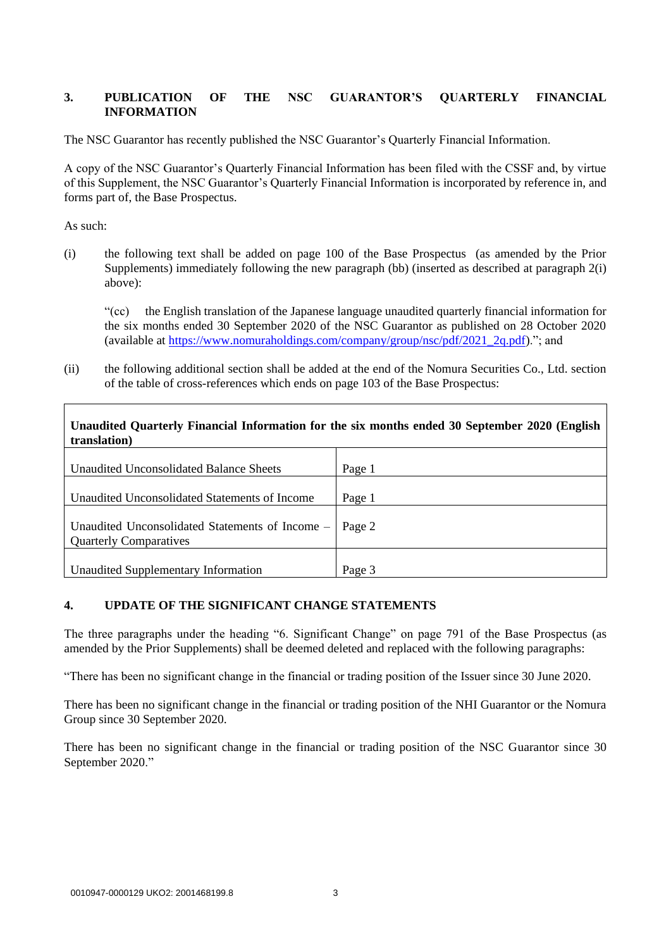# **3. PUBLICATION OF THE NSC GUARANTOR'S QUARTERLY FINANCIAL INFORMATION**

The NSC Guarantor has recently published the NSC Guarantor's Quarterly Financial Information.

A copy of the NSC Guarantor's Quarterly Financial Information has been filed with the CSSF and, by virtue of this Supplement, the NSC Guarantor's Quarterly Financial Information is incorporated by reference in, and forms part of, the Base Prospectus.

As such:

(i) the following text shall be added on page 100 of the Base Prospectus (as amended by the Prior Supplements) immediately following the new paragraph (bb) (inserted as described at paragraph 2(i) above):

"(cc) the English translation of the Japanese language unaudited quarterly financial information for the six months ended 30 September 2020 of the NSC Guarantor as published on 28 October 2020 (available at [https://www.nomuraholdings.com/company/group/nsc/pdf/2021\\_2q.pdf\)](https://www.nomuraholdings.com/company/group/nsc/pdf/2021_2q.pdf)."; and

(ii) the following additional section shall be added at the end of the Nomura Securities Co., Ltd. section of the table of cross-references which ends on page 103 of the Base Prospectus:

| Unaudited Quarterly Financial Information for the six months ended 30 September 2020 (English<br>translation) |        |
|---------------------------------------------------------------------------------------------------------------|--------|
| Unaudited Unconsolidated Balance Sheets                                                                       | Page 1 |
| Unaudited Unconsolidated Statements of Income                                                                 | Page 1 |
| Unaudited Unconsolidated Statements of Income $-$ Page 2<br><b>Quarterly Comparatives</b>                     |        |
| Unaudited Supplementary Information                                                                           | Page 3 |

# **4. UPDATE OF THE SIGNIFICANT CHANGE STATEMENTS**

The three paragraphs under the heading "6. Significant Change" on page 791 of the Base Prospectus (as amended by the Prior Supplements) shall be deemed deleted and replaced with the following paragraphs:

"There has been no significant change in the financial or trading position of the Issuer since 30 June 2020.

There has been no significant change in the financial or trading position of the NHI Guarantor or the Nomura Group since 30 September 2020.

There has been no significant change in the financial or trading position of the NSC Guarantor since 30 September 2020."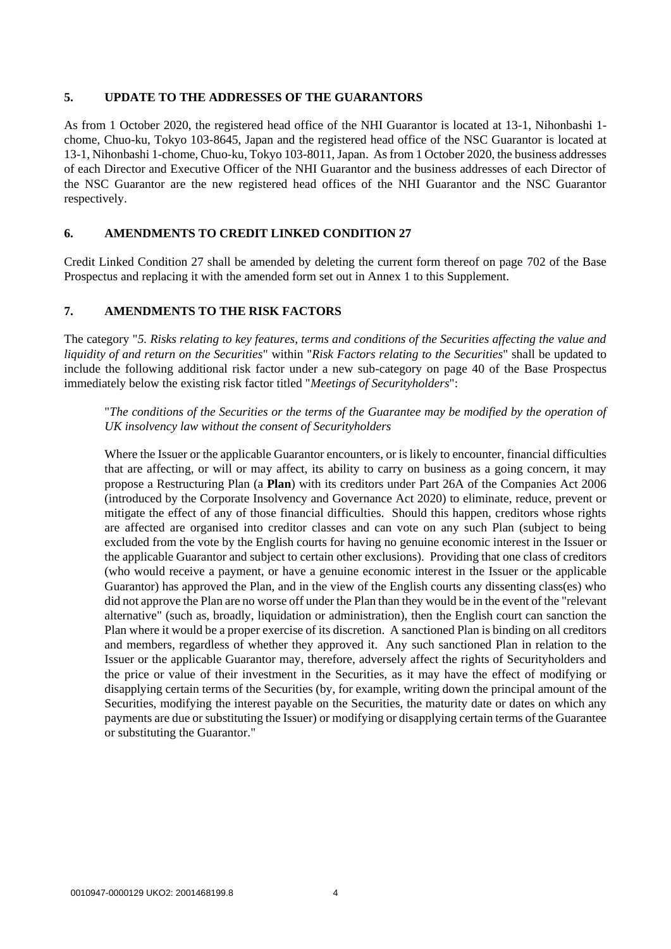## **5. UPDATE TO THE ADDRESSES OF THE GUARANTORS**

As from 1 October 2020, the registered head office of the NHI Guarantor is located at 13-1, Nihonbashi 1 chome, Chuo-ku, Tokyo 103-8645, Japan and the registered head office of the NSC Guarantor is located at 13-1, Nihonbashi 1-chome, Chuo-ku, Tokyo 103-8011, Japan. As from 1 October 2020, the business addresses of each Director and Executive Officer of the NHI Guarantor and the business addresses of each Director of the NSC Guarantor are the new registered head offices of the NHI Guarantor and the NSC Guarantor respectively.

## **6. AMENDMENTS TO CREDIT LINKED CONDITION 27**

Credit Linked Condition 27 shall be amended by deleting the current form thereof on page 702 of the Base Prospectus and replacing it with the amended form set out in Annex 1 to this Supplement.

## **7. AMENDMENTS TO THE RISK FACTORS**

The category "*5. Risks relating to key features, terms and conditions of the Securities affecting the value and liquidity of and return on the Securities*" within "*Risk Factors relating to the Securities*" shall be updated to include the following additional risk factor under a new sub-category on page 40 of the Base Prospectus immediately below the existing risk factor titled "*Meetings of Securityholders*":

"*The conditions of the Securities or the terms of the Guarantee may be modified by the operation of UK insolvency law without the consent of Securityholders*

Where the Issuer or the applicable Guarantor encounters, or is likely to encounter, financial difficulties that are affecting, or will or may affect, its ability to carry on business as a going concern, it may propose a Restructuring Plan (a **Plan**) with its creditors under Part 26A of the Companies Act 2006 (introduced by the Corporate Insolvency and Governance Act 2020) to eliminate, reduce, prevent or mitigate the effect of any of those financial difficulties. Should this happen, creditors whose rights are affected are organised into creditor classes and can vote on any such Plan (subject to being excluded from the vote by the English courts for having no genuine economic interest in the Issuer or the applicable Guarantor and subject to certain other exclusions). Providing that one class of creditors (who would receive a payment, or have a genuine economic interest in the Issuer or the applicable Guarantor) has approved the Plan, and in the view of the English courts any dissenting class(es) who did not approve the Plan are no worse off under the Plan than they would be in the event of the "relevant alternative" (such as, broadly, liquidation or administration), then the English court can sanction the Plan where it would be a proper exercise of its discretion. A sanctioned Plan is binding on all creditors and members, regardless of whether they approved it. Any such sanctioned Plan in relation to the Issuer or the applicable Guarantor may, therefore, adversely affect the rights of Securityholders and the price or value of their investment in the Securities, as it may have the effect of modifying or disapplying certain terms of the Securities (by, for example, writing down the principal amount of the Securities, modifying the interest payable on the Securities, the maturity date or dates on which any payments are due or substituting the Issuer) or modifying or disapplying certain terms of the Guarantee or substituting the Guarantor."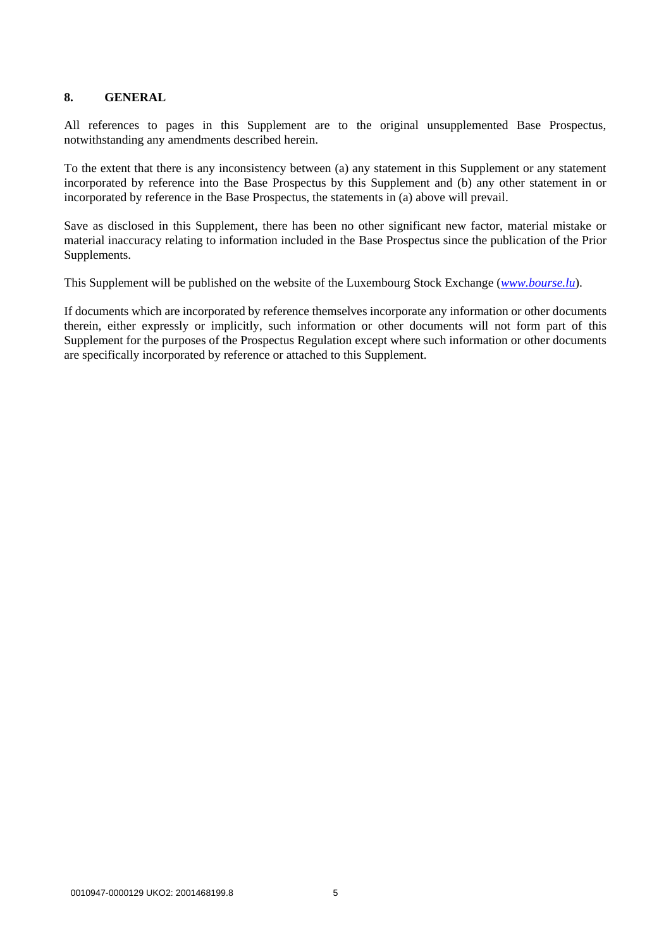## **8. GENERAL**

All references to pages in this Supplement are to the original unsupplemented Base Prospectus, notwithstanding any amendments described herein.

To the extent that there is any inconsistency between (a) any statement in this Supplement or any statement incorporated by reference into the Base Prospectus by this Supplement and (b) any other statement in or incorporated by reference in the Base Prospectus, the statements in (a) above will prevail.

Save as disclosed in this Supplement, there has been no other significant new factor, material mistake or material inaccuracy relating to information included in the Base Prospectus since the publication of the Prior Supplements.

This Supplement will be published on the website of the Luxembourg Stock Exchange (*[www.bourse.lu](http://www.bourse.lu/)*).

If documents which are incorporated by reference themselves incorporate any information or other documents therein, either expressly or implicitly, such information or other documents will not form part of this Supplement for the purposes of the Prospectus Regulation except where such information or other documents are specifically incorporated by reference or attached to this Supplement.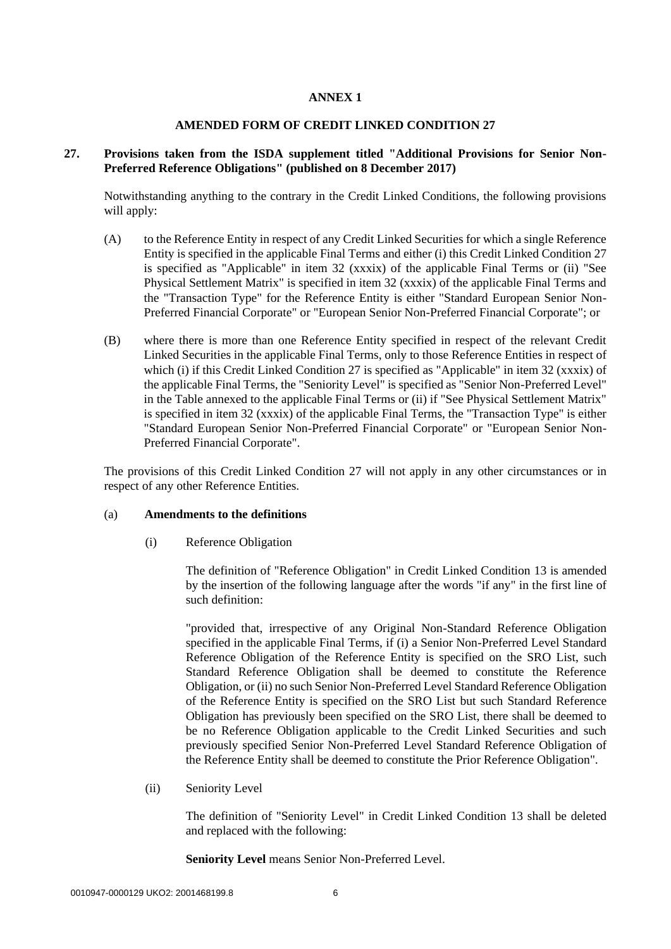### **ANNEX 1**

#### **AMENDED FORM OF CREDIT LINKED CONDITION 27**

## **27. Provisions taken from the ISDA supplement titled "Additional Provisions for Senior Non-Preferred Reference Obligations" (published on 8 December 2017)**

Notwithstanding anything to the contrary in the Credit Linked Conditions, the following provisions will apply:

- (A) to the Reference Entity in respect of any Credit Linked Securities for which a single Reference Entity is specified in the applicable Final Terms and either (i) this Credit Linked Condition 27 is specified as "Applicable" in item 32 (xxxix) of the applicable Final Terms or (ii) "See Physical Settlement Matrix" is specified in item 32 (xxxix) of the applicable Final Terms and the "Transaction Type" for the Reference Entity is either "Standard European Senior Non-Preferred Financial Corporate" or "European Senior Non-Preferred Financial Corporate"; or
- (B) where there is more than one Reference Entity specified in respect of the relevant Credit Linked Securities in the applicable Final Terms, only to those Reference Entities in respect of which (i) if this Credit Linked Condition 27 is specified as "Applicable" in item 32 (xxxix) of the applicable Final Terms, the "Seniority Level" is specified as "Senior Non-Preferred Level" in the Table annexed to the applicable Final Terms or (ii) if "See Physical Settlement Matrix" is specified in item 32 (xxxix) of the applicable Final Terms, the "Transaction Type" is either "Standard European Senior Non-Preferred Financial Corporate" or "European Senior Non-Preferred Financial Corporate".

The provisions of this Credit Linked Condition 27 will not apply in any other circumstances or in respect of any other Reference Entities.

#### (a) **Amendments to the definitions**

(i) Reference Obligation

The definition of "Reference Obligation" in Credit Linked Condition 13 is amended by the insertion of the following language after the words "if any" in the first line of such definition:

"provided that, irrespective of any Original Non-Standard Reference Obligation specified in the applicable Final Terms, if (i) a Senior Non-Preferred Level Standard Reference Obligation of the Reference Entity is specified on the SRO List, such Standard Reference Obligation shall be deemed to constitute the Reference Obligation, or (ii) no such Senior Non-Preferred Level Standard Reference Obligation of the Reference Entity is specified on the SRO List but such Standard Reference Obligation has previously been specified on the SRO List, there shall be deemed to be no Reference Obligation applicable to the Credit Linked Securities and such previously specified Senior Non-Preferred Level Standard Reference Obligation of the Reference Entity shall be deemed to constitute the Prior Reference Obligation".

(ii) Seniority Level

The definition of "Seniority Level" in Credit Linked Condition 13 shall be deleted and replaced with the following:

**Seniority Level** means Senior Non-Preferred Level.